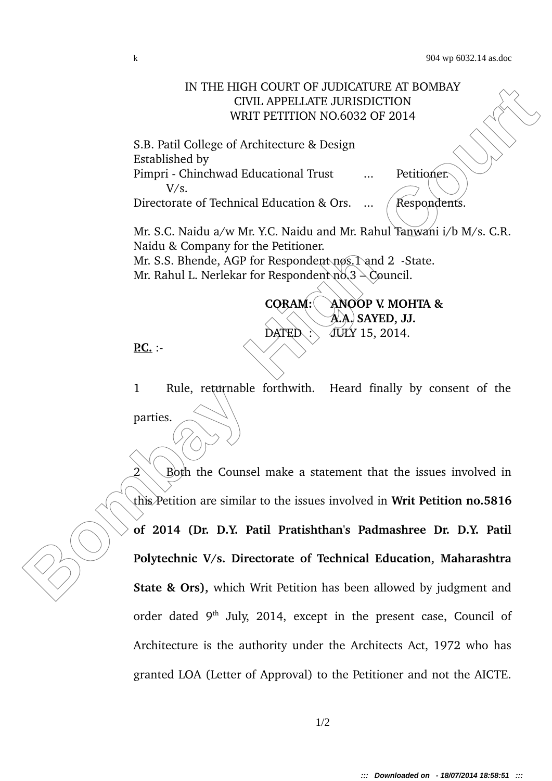## IN THE HIGH COURT OF UDICATURE AT BOMBAY<br>
CIVIL APPELLATE JURISDICTION<br>
WRIT PETITION NO.6032 OF 2014<br> **Bombay WRIT PETITION NO.6032 OF 2014**<br> **Bombay High Colicity Control Equational Trust**<br> **Bombay High Control Equationa** IN THE HIGH COURT OF JUDICATURE AT BOMBAY CIVIL APPELLATE JURISDICTION WRIT PETITION NO.6032 OF 2014 S.B. Patil College of Architecture & Design Established by Pimpri - Chinchwad Educational Trust ... Petitioner. V/s. Directorate of Technical Education & Ors.  $\ldots$  (Respondents. Mr. S.C. Naidu a/w Mr. Y.C. Naidu and Mr. Rahul Tanwani i/b M/s. C.R. Naidu & Company for the Petitioner. Mr. S.S. Bhende, AGP for Respondent nos. 1 and 2 - State. Mr. Rahul L. Nerlekar for Respondent  $n\delta$ , 3  $\delta$  Council. **CORAM: ANOOP V. MOHTA &**

**P.C.** :

1 Rule, returnable forthwith. Heard finally by consent of the parties.

DATED  $\therefore$  JULY 15, 2014.

**A.A. SAYED, JJ.**

 $2\diagdown$  Both the Counsel make a statement that the issues involved in this Petition are similar to the issues involved in **Writ Petition no.5816 of 2014 (Dr. D.Y. Patil Pratishthan's Padmashree Dr. D.Y. Patil Polytechnic V/s. Directorate of Technical Education, Maharashtra State & Ors),** which Writ Petition has been allowed by judgment and order dated 9<sup>th</sup> July, 2014, except in the present case, Council of Architecture is the authority under the Architects Act, 1972 who has granted LOA (Letter of Approval) to the Petitioner and not the AICTE.